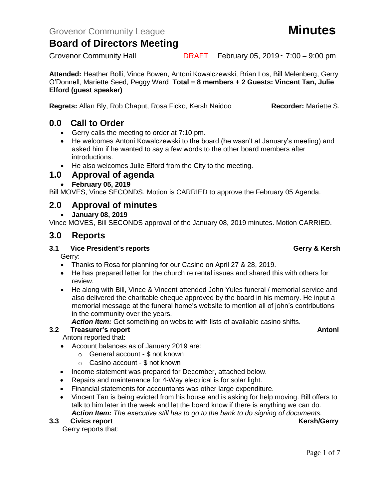**Attended:** Heather Bolli, Vince Bowen, Antoni Kowalczewski, Brian Los, Bill Melenberg, Gerry O'Donnell, Mariette Seed, Peggy Ward **Total = 8 members + 2 Guests: Vincent Tan, Julie Elford (guest speaker)**

**Regrets:** Allan Bly, Rob Chaput, Rosa Ficko, Kersh Naidoo **Recorder:** Mariette S.

### **0.0 Call to Order**

- Gerry calls the meeting to order at 7:10 pm.
- He welcomes Antoni Kowalczewski to the board (he wasn't at January's meeting) and asked him if he wanted to say a few words to the other board members after introductions.
- He also welcomes Julie Elford from the City to the meeting.

### **1.0 Approval of agenda**

• **February 05, 2019**

Bill MOVES, Vince SECONDS. Motion is CARRIED to approve the February 05 Agenda.

### **2.0 Approval of minutes**

• **January 08, 2019**

Vince MOVES, Bill SECONDS approval of the January 08, 2019 minutes. Motion CARRIED.

### **3.0 Reports**

#### **3.1 Vice President's reports Gerry & Kersh**

Gerry:

- Thanks to Rosa for planning for our Casino on April 27 & 28, 2019.
- He has prepared letter for the church re rental issues and shared this with others for review.
- He along with Bill, Vince & Vincent attended John Yules funeral / memorial service and also delivered the charitable cheque approved by the board in his memory. He input a memorial message at the funeral home's website to mention all of john's contributions in the community over the years.

*Action Item:* Get something on website with lists of available casino shifts.

#### **3.2 Freasurer's report Antonic Structure Antonic Structure Antonic Antonic Antonic Antonic Antonic Antonic Antoni**

Antoni reported that:

- Account balances as of January 2019 are:
	- o General account \$ not known
	- o Casino account \$ not known
- Income statement was prepared for December, attached below.
- Repairs and maintenance for 4-Way electrical is for solar light.
- Financial statements for accountants was other large expenditure.
- Vincent Tan is being evicted from his house and is asking for help moving. Bill offers to talk to him later in the week and let the board know if there is anything we can do. *Action Item: The executive still has to go to the bank to do signing of documents.*

#### **3.3** Civics report **Kersh/Gerry**

Gerry reports that:

Grovenor Community Hall **DRAFT** February 05, 2019 • 7:00 – 9:00 pm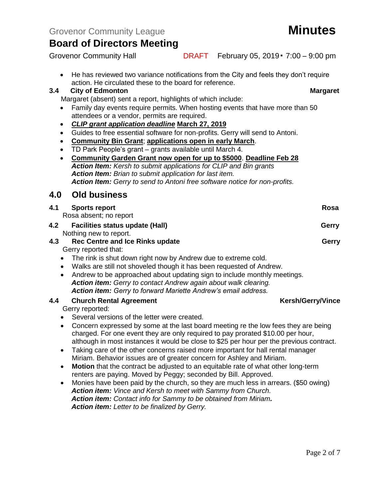• He has reviewed two variance notifications from the City and feels they don't require action. He circulated these to the board for reference.

#### **3.4 City of Edmonton Margaret**

Margaret (absent) sent a report, highlights of which include:

- Family day events require permits. When hosting events that have more than 50 attendees or a vendor, permits are required.
- *CLIP grant application deadline* **March 27, 2019**
- Guides to free essential software for non-profits. Gerry will send to Antoni.
- **Community Bin Grant**; **applications open in early March**.
- TD Park People's grant grants available until March 4.
- **Community Garden Grant now open for up to \$5000**. **Deadline Feb 28** *Action Item: Kersh to submit applications for CLIP and Bin grants Action Item: Brian to submit application for last item. Action Item: Gerry to send to Antoni free software notice for non-profits.*

#### **4.0 Old business**

| 4.1<br><b>Sports report</b><br>Rosa<br>Rosa absent; no report<br><b>Facilities status update (Hall)</b><br>Gerry<br>Nothing new to report.<br><b>Rec Centre and Ice Rinks update</b><br>Gerry<br>Gerry reported that:<br>The rink is shut down right now by Andrew due to extreme cold.<br>$\bullet$<br>Walks are still not shoveled though it has been requested of Andrew.<br>$\bullet$<br>Andrew to be approached about updating sign to include monthly meetings.<br>$\bullet$<br>Action item: Gerry to contact Andrew again about walk clearing.<br>Action item: Gerry to forward Mariette Andrew's email address.<br><b>Kersh/Gerry/Vince</b><br><b>Church Rental Agreement</b><br>Gerry reported:<br>Several versions of the letter were created.<br>$\bullet$ |  |  |  |
|-----------------------------------------------------------------------------------------------------------------------------------------------------------------------------------------------------------------------------------------------------------------------------------------------------------------------------------------------------------------------------------------------------------------------------------------------------------------------------------------------------------------------------------------------------------------------------------------------------------------------------------------------------------------------------------------------------------------------------------------------------------------------|--|--|--|
| 4.2<br>4.3<br>4.4                                                                                                                                                                                                                                                                                                                                                                                                                                                                                                                                                                                                                                                                                                                                                     |  |  |  |
|                                                                                                                                                                                                                                                                                                                                                                                                                                                                                                                                                                                                                                                                                                                                                                       |  |  |  |
|                                                                                                                                                                                                                                                                                                                                                                                                                                                                                                                                                                                                                                                                                                                                                                       |  |  |  |
|                                                                                                                                                                                                                                                                                                                                                                                                                                                                                                                                                                                                                                                                                                                                                                       |  |  |  |
|                                                                                                                                                                                                                                                                                                                                                                                                                                                                                                                                                                                                                                                                                                                                                                       |  |  |  |
|                                                                                                                                                                                                                                                                                                                                                                                                                                                                                                                                                                                                                                                                                                                                                                       |  |  |  |
|                                                                                                                                                                                                                                                                                                                                                                                                                                                                                                                                                                                                                                                                                                                                                                       |  |  |  |
|                                                                                                                                                                                                                                                                                                                                                                                                                                                                                                                                                                                                                                                                                                                                                                       |  |  |  |
|                                                                                                                                                                                                                                                                                                                                                                                                                                                                                                                                                                                                                                                                                                                                                                       |  |  |  |
|                                                                                                                                                                                                                                                                                                                                                                                                                                                                                                                                                                                                                                                                                                                                                                       |  |  |  |
|                                                                                                                                                                                                                                                                                                                                                                                                                                                                                                                                                                                                                                                                                                                                                                       |  |  |  |
|                                                                                                                                                                                                                                                                                                                                                                                                                                                                                                                                                                                                                                                                                                                                                                       |  |  |  |
|                                                                                                                                                                                                                                                                                                                                                                                                                                                                                                                                                                                                                                                                                                                                                                       |  |  |  |
|                                                                                                                                                                                                                                                                                                                                                                                                                                                                                                                                                                                                                                                                                                                                                                       |  |  |  |
| Concern expressed by some at the last board meeting re the low fees they are being<br>$\bullet$                                                                                                                                                                                                                                                                                                                                                                                                                                                                                                                                                                                                                                                                       |  |  |  |
| charged. For one event they are only required to pay prorated \$10.00 per hour,                                                                                                                                                                                                                                                                                                                                                                                                                                                                                                                                                                                                                                                                                       |  |  |  |
| although in most instances it would be close to \$25 per hour per the previous contract.                                                                                                                                                                                                                                                                                                                                                                                                                                                                                                                                                                                                                                                                              |  |  |  |
| Taking care of the other concerns raised more important for hall rental manager<br>$\bullet$                                                                                                                                                                                                                                                                                                                                                                                                                                                                                                                                                                                                                                                                          |  |  |  |
| Miriam. Behavior issues are of greater concern for Ashley and Miriam.                                                                                                                                                                                                                                                                                                                                                                                                                                                                                                                                                                                                                                                                                                 |  |  |  |

- **Motion** that the contract be adjusted to an equitable rate of what other long-term renters are paying. Moved by Peggy; seconded by Bill. Approved.
- Monies have been paid by the church, so they are much less in arrears. (\$50 owing) *Action item: Vince and Kersh to meet with Sammy from Church. Action item: Contact info for Sammy to be obtained from Miriam. Action item: Letter to be finalized by Gerry.*

Grovenor Community Hall **DRAFT** February 05, 2019 • 7:00 – 9:00 pm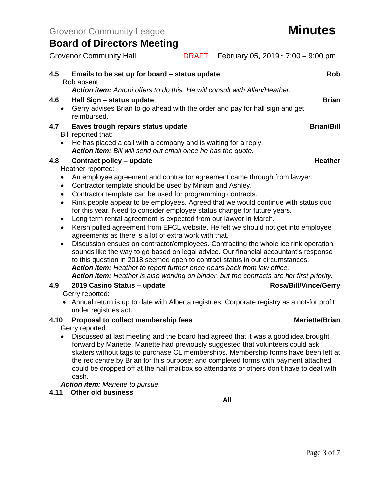Grovenor Community Hall **DRAFT** February 05, 2019 • 7:00 – 9:00 pm

| 4.5 | Emails to be set up for board – status update                                                                                                                         | Rob               |  |  |
|-----|-----------------------------------------------------------------------------------------------------------------------------------------------------------------------|-------------------|--|--|
|     | Rob absent<br>Action item: Antoni offers to do this. He will consult with Allan/Heather.                                                                              |                   |  |  |
| 4.6 |                                                                                                                                                                       | <b>Brian</b>      |  |  |
|     | Hall Sign - status update<br>Gerry advises Brian to go ahead with the order and pay for hall sign and get<br>$\bullet$<br>reimbursed.                                 |                   |  |  |
| 4.7 | Eaves trough repairs status update<br>Bill reported that:                                                                                                             | <b>Brian/Bill</b> |  |  |
|     | He has placed a call with a company and is waiting for a reply.                                                                                                       |                   |  |  |
|     | Action Item: Bill will send out email once he has the quote.                                                                                                          |                   |  |  |
| 4.8 | Contract policy – update                                                                                                                                              | <b>Heather</b>    |  |  |
|     | Heather reported:                                                                                                                                                     |                   |  |  |
|     | An employee agreement and contractor agreement came through from lawyer.<br>٠                                                                                         |                   |  |  |
|     | Contractor template should be used by Miriam and Ashley.<br>$\bullet$                                                                                                 |                   |  |  |
|     | Contractor template can be used for programming contracts.<br>$\bullet$                                                                                               |                   |  |  |
|     | Rink people appear to be employees. Agreed that we would continue with status quo<br>$\bullet$                                                                        |                   |  |  |
|     | for this year. Need to consider employee status change for future years.                                                                                              |                   |  |  |
|     | Long term rental agreement is expected from our lawyer in March.<br>$\bullet$                                                                                         |                   |  |  |
|     | Kersh pulled agreement from EFCL website. He felt we should not get into employee<br>$\bullet$<br>agreements as there is a lot of extra work with that.               |                   |  |  |
|     | Discussion ensues on contractor/employees. Contracting the whole ice rink operation<br>$\bullet$                                                                      |                   |  |  |
|     | sounds like the way to go based on legal advice. Our financial accountant's response<br>to this question in 2018 seemed open to contract status in our circumstances. |                   |  |  |
|     | Action item: Heather to report further once hears back from law office.                                                                                               |                   |  |  |
|     | Action item: Heather is also working on binder, but the contracts are her first priority.                                                                             |                   |  |  |
| 4.9 | 2019 Casino Status - update<br><b>Rosa/Bill/Vince/Gerry</b>                                                                                                           |                   |  |  |
|     |                                                                                                                                                                       |                   |  |  |

Gerry reported:

• Annual return is up to date with Alberta registries. Corporate registry as a not-for profit under registries act.

#### **4.10 Proposal to collect membership fees Mariette/Brian**

Gerry reported:

• Discussed at last meeting and the board had agreed that it was a good idea brought forward by Mariette. Mariette had previously suggested that volunteers could ask skaters without tags to purchase CL memberships. Membership forms have been left at the rec centre by Brian for this purpose; and completed forms with payment attached could be dropped off at the hall mailbox so attendants or others don't have to deal with cash.

*Action item: Mariette to pursue.*

#### **4.11 Other old business**

**All**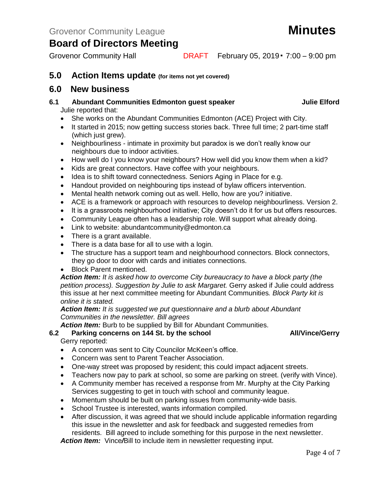Grovenor Community Hall **DRAFT** February 05, 2019 • 7:00 – 9:00 pm

#### **5.0 Action Items update (for items not yet covered)**

#### **6.0 New business**

- **6.1 Abundant Communities Edmonton guest speaker Julie Elford** Julie reported that:
	- She works on the Abundant Communities Edmonton (ACE) Project with City.
	- It started in 2015; now getting success stories back. Three full time; 2 part-time staff (which just grew).
	- Neighbourliness intimate in proximity but paradox is we don't really know our neighbours due to indoor activities.
	- How well do I you know your neighbours? How well did you know them when a kid?
	- Kids are great connectors. Have coffee with your neighbours.
	- Idea is to shift toward connectedness. Seniors Aging in Place for e.g.
	- Handout provided on neighbouring tips instead of bylaw officers intervention.
	- Mental health network coming out as well. Hello, how are you? initiative.
	- ACE is a framework or approach with resources to develop neighbourliness. Version 2.
	- It is a grassroots neighbourhood initiative; City doesn't do it for us but offers resources.
	- Community League often has a leadership role. Will support what already doing.
	- Link to website: abundantcommunity@edmonton.ca
	- There is a grant available.
	- There is a data base for all to use with a login.
	- The structure has a support team and neighbourhood connectors. Block connectors, they go door to door with cards and initiates connections.
	- Block Parent mentioned.

*Action Item: It is asked how to overcome City bureaucracy to have a block party (the petition process). Suggestion by Julie to ask Margaret.* Gerry asked if Julie could address this issue at her next committee meeting for Abundant Communities*. Block Party kit is online it is stated.*

*Action Item: It is suggested we put questionnaire and a blurb about Abundant Communities in the newsletter. Bill agrees*

*Action Item:* Burb to be supplied by Bill for Abundant Communities.

#### **6.2 Parking concerns on 144 St. by the school All/Vince/Gerry** Gerry reported:

- 
- A concern was sent to City Councilor McKeen's office.
- Concern was sent to Parent Teacher Association.
- One-way street was proposed by resident; this could impact adjacent streets.
- Teachers now pay to park at school, so some are parking on street. (verify with Vince).
- A Community member has received a response from Mr. Murphy at the City Parking Services suggesting to get in touch with school and community league.
- Momentum should be built on parking issues from community-wide basis.
- School Trustee is interested, wants information compiled.
- After discussion, it was agreed that we should include applicable information regarding this issue in the newsletter and ask for feedback and suggested remedies from residents. Bill agreed to include something for this purpose in the next newsletter.

*Action Item:* Vince*/*Bill to include item in newsletter requesting input.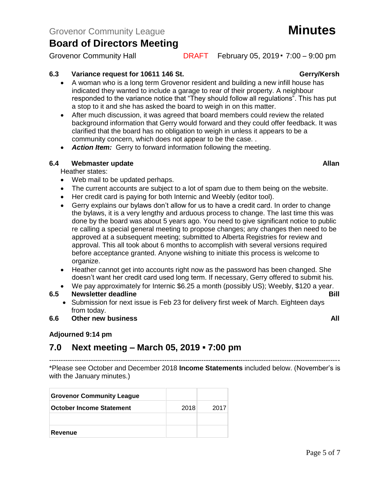Grovenor Community Hall **DRAFT** February 05, 2019 • 7:00 – 9:00 pm

**6.3 Variance request for 10611 146 St. Gerry/Kersh** 

- A woman who is a long term Grovenor resident and building a new infill house has indicated they wanted to include a garage to rear of their property. A neighbour responded to the variance notice that "They should follow all regulations". This has put a stop to it and she has asked the board to weigh in on this matter.
- After much discussion, it was agreed that board members could review the related background information that Gerry would forward and they could offer feedback. It was clarified that the board has no obligation to weigh in unless it appears to be a community concern, which does not appear to be the case. .
- *Action Item:* Gerry to forward information following the meeting.

#### **6.4 Webmaster update Allan**

Heather states:

- Web mail to be updated perhaps.
- The current accounts are subject to a lot of spam due to them being on the website.
- Her credit card is paying for both Internic and Weebly (editor tool).
- Gerry explains our bylaws don't allow for us to have a credit card. In order to change the bylaws, it is a very lengthy and arduous process to change. The last time this was done by the board was about 5 years ago. You need to give significant notice to public re calling a special general meeting to propose changes; any changes then need to be approved at a subsequent meeting; submitted to Alberta Registries for review and approval. This all took about 6 months to accomplish with several versions required before acceptance granted. Anyone wishing to initiate this process is welcome to organize.
- Heather cannot get into accounts right now as the password has been changed. She doesn't want her credit card used long term. If necessary, Gerry offered to submit his.
- We pay approximately for Internic \$6.25 a month (possibly US); Weebly, \$120 a year.

#### **6.5 Newsletter deadline** Bill

• Submission for next issue is Feb 23 for delivery first week of March. Eighteen days from today.

#### **6.6 Other new business All**

#### **Adjourned 9:14 pm**

### **7.0 Next meeting – March 05, 2019 ▪ 7:00 pm**

------------------------------------------------------------------------------------------------------------------------------ \*Please see October and December 2018 **Income Statements** included below. (November's is with the January minutes.)

| <b>Grovenor Community League</b> |      |      |
|----------------------------------|------|------|
| <b>October Income Statement</b>  | 2018 | 2017 |
|                                  |      |      |
| Revenue                          |      |      |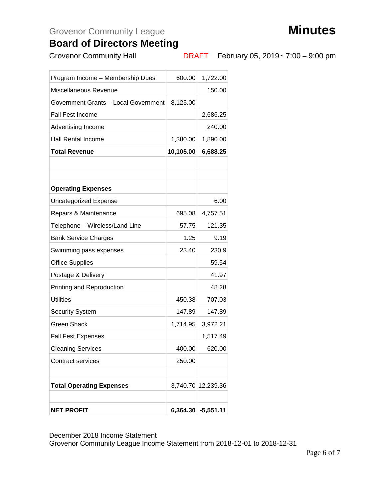# Grovenor Community League **Minutes**



## **Board of Directors Meeting**

Grovenor Community Hall **DRAFT** February 05, 2019 • 7:00 – 9:00 pm

| <b>NET PROFIT</b>                    |           | $6,364.30$ -5,551.11 |
|--------------------------------------|-----------|----------------------|
|                                      |           |                      |
| <b>Total Operating Expenses</b>      |           | 3,740.70 12,239.36   |
| <b>Contract services</b>             | 250.00    |                      |
| <b>Cleaning Services</b>             | 400.00    | 620.00               |
| <b>Fall Fest Expenses</b>            |           | 1,517.49             |
| <b>Green Shack</b>                   | 1,714.95  | 3,972.21             |
| <b>Security System</b>               | 147.89    | 147.89               |
| <b>Utilities</b>                     | 450.38    | 707.03               |
| Printing and Reproduction            |           | 48.28                |
| Postage & Delivery                   |           | 41.97                |
| <b>Office Supplies</b>               |           | 59.54                |
| Swimming pass expenses               | 23.40     | 230.9                |
| <b>Bank Service Charges</b>          | 1.25      | 9.19                 |
| Telephone - Wireless/Land Line       | 57.75     | 121.35               |
| Repairs & Maintenance                | 695.08    | 4,757.51             |
| <b>Uncategorized Expense</b>         |           | 6.00                 |
| <b>Operating Expenses</b>            |           |                      |
|                                      |           |                      |
|                                      |           |                      |
| <b>Total Revenue</b>                 | 10,105.00 | 6,688.25             |
| <b>Hall Rental Income</b>            | 1,380.00  | 1,890.00             |
| Advertising Income                   |           | 240.00               |
| <b>Fall Fest Income</b>              |           | 2,686.25             |
| Government Grants - Local Government | 8,125.00  |                      |
| Miscellaneous Revenue                |           | 150.00               |
| Program Income - Membership Dues     | 600.00    | 1,722.00             |
|                                      |           |                      |

December 2018 Income Statement

Grovenor Community League Income Statement from 2018-12-01 to 2018-12-31